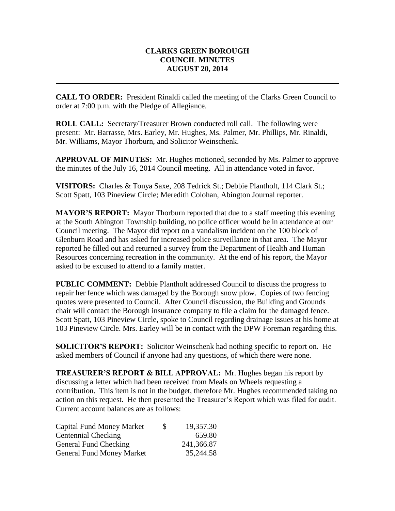## **CLARKS GREEN BOROUGH COUNCIL MINUTES AUGUST 20, 2014**

**CALL TO ORDER:** President Rinaldi called the meeting of the Clarks Green Council to order at 7:00 p.m. with the Pledge of Allegiance.

**ROLL CALL:** Secretary/Treasurer Brown conducted roll call. The following were present: Mr. Barrasse, Mrs. Earley, Mr. Hughes, Ms. Palmer, Mr. Phillips, Mr. Rinaldi, Mr. Williams, Mayor Thorburn, and Solicitor Weinschenk.

**APPROVAL OF MINUTES:** Mr. Hughes motioned, seconded by Ms. Palmer to approve the minutes of the July 16, 2014 Council meeting. All in attendance voted in favor.

**VISITORS:** Charles & Tonya Saxe, 208 Tedrick St.; Debbie Plantholt, 114 Clark St.; Scott Spatt, 103 Pineview Circle; Meredith Colohan, Abington Journal reporter.

**MAYOR'S REPORT:** Mayor Thorburn reported that due to a staff meeting this evening at the South Abington Township building, no police officer would be in attendance at our Council meeting. The Mayor did report on a vandalism incident on the 100 block of Glenburn Road and has asked for increased police surveillance in that area. The Mayor reported he filled out and returned a survey from the Department of Health and Human Resources concerning recreation in the community. At the end of his report, the Mayor asked to be excused to attend to a family matter.

**PUBLIC COMMENT:** Debbie Plantholt addressed Council to discuss the progress to repair her fence which was damaged by the Borough snow plow. Copies of two fencing quotes were presented to Council. After Council discussion, the Building and Grounds chair will contact the Borough insurance company to file a claim for the damaged fence. Scott Spatt, 103 Pineview Circle, spoke to Council regarding drainage issues at his home at 103 Pineview Circle. Mrs. Earley will be in contact with the DPW Foreman regarding this.

**SOLICITOR'S REPORT:** Solicitor Weinschenk had nothing specific to report on. He asked members of Council if anyone had any questions, of which there were none.

**TREASURER'S REPORT & BILL APPROVAL:** Mr. Hughes began his report by discussing a letter which had been received from Meals on Wheels requesting a contribution. This item is not in the budget, therefore Mr. Hughes recommended taking no action on this request. He then presented the Treasurer's Report which was filed for audit. Current account balances are as follows:

| <b>Capital Fund Money Market</b> | S. | 19,357.30  |
|----------------------------------|----|------------|
| <b>Centennial Checking</b>       |    | 659.80     |
| General Fund Checking            |    | 241,366.87 |
| <b>General Fund Money Market</b> |    | 35,244.58  |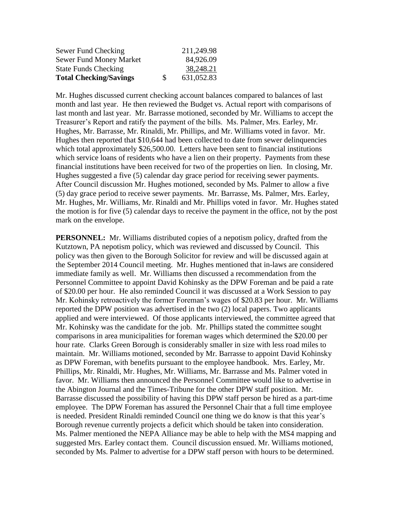| Sewer Fund Checking           |     | 211,249.98 |
|-------------------------------|-----|------------|
| Sewer Fund Money Market       |     | 84,926.09  |
| <b>State Funds Checking</b>   |     | 38,248.21  |
| <b>Total Checking/Savings</b> | \$. | 631,052.83 |

Mr. Hughes discussed current checking account balances compared to balances of last month and last year. He then reviewed the Budget vs. Actual report with comparisons of last month and last year. Mr. Barrasse motioned, seconded by Mr. Williams to accept the Treasurer's Report and ratify the payment of the bills. Ms. Palmer, Mrs. Earley, Mr. Hughes, Mr. Barrasse, Mr. Rinaldi, Mr. Phillips, and Mr. Williams voted in favor. Mr. Hughes then reported that \$10,644 had been collected to date from sewer delinquencies which total approximately \$26,500.00. Letters have been sent to financial institutions which service loans of residents who have a lien on their property. Payments from these financial institutions have been received for two of the properties on lien. In closing, Mr. Hughes suggested a five (5) calendar day grace period for receiving sewer payments. After Council discussion Mr. Hughes motioned, seconded by Ms. Palmer to allow a five (5) day grace period to receive sewer payments. Mr. Barrasse, Ms. Palmer, Mrs. Earley, Mr. Hughes, Mr. Williams, Mr. Rinaldi and Mr. Phillips voted in favor. Mr. Hughes stated the motion is for five (5) calendar days to receive the payment in the office, not by the post mark on the envelope.

**PERSONNEL:** Mr. Williams distributed copies of a nepotism policy, drafted from the Kutztown, PA nepotism policy, which was reviewed and discussed by Council. This policy was then given to the Borough Solicitor for review and will be discussed again at the September 2014 Council meeting. Mr. Hughes mentioned that in-laws are considered immediate family as well. Mr. Williams then discussed a recommendation from the Personnel Committee to appoint David Kohinsky as the DPW Foreman and be paid a rate of \$20.00 per hour. He also reminded Council it was discussed at a Work Session to pay Mr. Kohinsky retroactively the former Foreman's wages of \$20.83 per hour. Mr. Williams reported the DPW position was advertised in the two (2) local papers. Two applicants applied and were interviewed. Of those applicants interviewed, the committee agreed that Mr. Kohinsky was the candidate for the job. Mr. Phillips stated the committee sought comparisons in area municipalities for foreman wages which determined the \$20.00 per hour rate. Clarks Green Borough is considerably smaller in size with less road miles to maintain. Mr. Williams motioned, seconded by Mr. Barrasse to appoint David Kohinsky as DPW Foreman, with benefits pursuant to the employee handbook. Mrs. Earley, Mr. Phillips, Mr. Rinaldi, Mr. Hughes, Mr. Williams, Mr. Barrasse and Ms. Palmer voted in favor. Mr. Williams then announced the Personnel Committee would like to advertise in the Abington Journal and the Times-Tribune for the other DPW staff position. Mr. Barrasse discussed the possibility of having this DPW staff person be hired as a part-time employee. The DPW Foreman has assured the Personnel Chair that a full time employee is needed. President Rinaldi reminded Council one thing we do know is that this year's Borough revenue currently projects a deficit which should be taken into consideration. Ms. Palmer mentioned the NEPA Alliance may be able to help with the MS4 mapping and suggested Mrs. Earley contact them. Council discussion ensued. Mr. Williams motioned, seconded by Ms. Palmer to advertise for a DPW staff person with hours to be determined.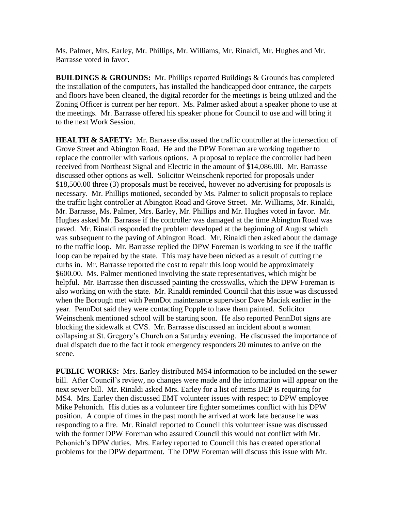Ms. Palmer, Mrs. Earley, Mr. Phillips, Mr. Williams, Mr. Rinaldi, Mr. Hughes and Mr. Barrasse voted in favor.

**BUILDINGS & GROUNDS:** Mr. Phillips reported Buildings & Grounds has completed the installation of the computers, has installed the handicapped door entrance, the carpets and floors have been cleaned, the digital recorder for the meetings is being utilized and the Zoning Officer is current per her report. Ms. Palmer asked about a speaker phone to use at the meetings. Mr. Barrasse offered his speaker phone for Council to use and will bring it to the next Work Session.

**HEALTH & SAFETY:** Mr. Barrasse discussed the traffic controller at the intersection of Grove Street and Abington Road. He and the DPW Foreman are working together to replace the controller with various options. A proposal to replace the controller had been received from Northeast Signal and Electric in the amount of \$14,086.00. Mr. Barrasse discussed other options as well. Solicitor Weinschenk reported for proposals under \$18,500.00 three (3) proposals must be received, however no advertising for proposals is necessary. Mr. Phillips motioned, seconded by Ms. Palmer to solicit proposals to replace the traffic light controller at Abington Road and Grove Street. Mr. Williams, Mr. Rinaldi, Mr. Barrasse, Ms. Palmer, Mrs. Earley, Mr. Phillips and Mr. Hughes voted in favor. Mr. Hughes asked Mr. Barrasse if the controller was damaged at the time Abington Road was paved. Mr. Rinaldi responded the problem developed at the beginning of August which was subsequent to the paving of Abington Road. Mr. Rinaldi then asked about the damage to the traffic loop. Mr. Barrasse replied the DPW Foreman is working to see if the traffic loop can be repaired by the state. This may have been nicked as a result of cutting the curbs in. Mr. Barrasse reported the cost to repair this loop would be approximately \$600.00. Ms. Palmer mentioned involving the state representatives, which might be helpful. Mr. Barrasse then discussed painting the crosswalks, which the DPW Foreman is also working on with the state. Mr. Rinaldi reminded Council that this issue was discussed when the Borough met with PennDot maintenance supervisor Dave Maciak earlier in the year. PennDot said they were contacting Popple to have them painted. Solicitor Weinschenk mentioned school will be starting soon. He also reported PennDot signs are blocking the sidewalk at CVS. Mr. Barrasse discussed an incident about a woman collapsing at St. Gregory's Church on a Saturday evening. He discussed the importance of dual dispatch due to the fact it took emergency responders 20 minutes to arrive on the scene.

**PUBLIC WORKS:** Mrs. Earley distributed MS4 information to be included on the sewer bill. After Council's review, no changes were made and the information will appear on the next sewer bill. Mr. Rinaldi asked Mrs. Earley for a list of items DEP is requiring for MS4. Mrs. Earley then discussed EMT volunteer issues with respect to DPW employee Mike Pehonich. His duties as a volunteer fire fighter sometimes conflict with his DPW position. A couple of times in the past month he arrived at work late because he was responding to a fire. Mr. Rinaldi reported to Council this volunteer issue was discussed with the former DPW Foreman who assured Council this would not conflict with Mr. Pehonich's DPW duties. Mrs. Earley reported to Council this has created operational problems for the DPW department. The DPW Foreman will discuss this issue with Mr.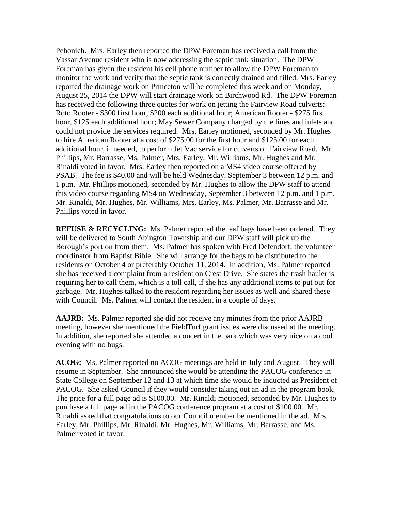Pehonich. Mrs. Earley then reported the DPW Foreman has received a call from the Vassar Avenue resident who is now addressing the septic tank situation. The DPW Foreman has given the resident his cell phone number to allow the DPW Foreman to monitor the work and verify that the septic tank is correctly drained and filled. Mrs. Earley reported the drainage work on Princeton will be completed this week and on Monday, August 25, 2014 the DPW will start drainage work on Birchwood Rd. The DPW Foreman has received the following three quotes for work on jetting the Fairview Road culverts: Roto Rooter - \$300 first hour, \$200 each additional hour; American Rooter - \$275 first hour, \$125 each additional hour; May Sewer Company charged by the lines and inlets and could not provide the services required. Mrs. Earley motioned, seconded by Mr. Hughes to hire American Rooter at a cost of \$275.00 for the first hour and \$125.00 for each additional hour, if needed, to perform Jet Vac service for culverts on Fairview Road. Mr. Phillips, Mr. Barrasse, Ms. Palmer, Mrs. Earley, Mr. Williams, Mr. Hughes and Mr. Rinaldi voted in favor. Mrs. Earley then reported on a MS4 video course offered by PSAB. The fee is \$40.00 and will be held Wednesday, September 3 between 12 p.m. and 1 p.m. Mr. Phillips motioned, seconded by Mr. Hughes to allow the DPW staff to attend this video course regarding MS4 on Wednesday, September 3 between 12 p.m. and 1 p.m. Mr. Rinaldi, Mr. Hughes, Mr. Williams, Mrs. Earley, Ms. Palmer, Mr. Barrasse and Mr. Phillips voted in favor.

**REFUSE & RECYCLING:** Ms. Palmer reported the leaf bags have been ordered. They will be delivered to South Abington Township and our DPW staff will pick up the Borough's portion from them. Ms. Palmer has spoken with Fred Defendorf, the volunteer coordinator from Baptist Bible. She will arrange for the bags to be distributed to the residents on October 4 or preferably October 11, 2014. In addition, Ms. Palmer reported she has received a complaint from a resident on Crest Drive. She states the trash hauler is requiring her to call them, which is a toll call, if she has any additional items to put out for garbage. Mr. Hughes talked to the resident regarding her issues as well and shared these with Council. Ms. Palmer will contact the resident in a couple of days.

**AAJRB:** Ms. Palmer reported she did not receive any minutes from the prior AAJRB meeting, however she mentioned the FieldTurf grant issues were discussed at the meeting. In addition, she reported she attended a concert in the park which was very nice on a cool evening with no bugs.

**ACOG:** Ms. Palmer reported no ACOG meetings are held in July and August. They will resume in September. She announced she would be attending the PACOG conference in State College on September 12 and 13 at which time she would be inducted as President of PACOG. She asked Council if they would consider taking out an ad in the program book. The price for a full page ad is \$100.00. Mr. Rinaldi motioned, seconded by Mr. Hughes to purchase a full page ad in the PACOG conference program at a cost of \$100.00. Mr. Rinaldi asked that congratulations to our Council member be mentioned in the ad. Mrs. Earley, Mr. Phillips, Mr. Rinaldi, Mr. Hughes, Mr. Williams, Mr. Barrasse, and Ms. Palmer voted in favor.